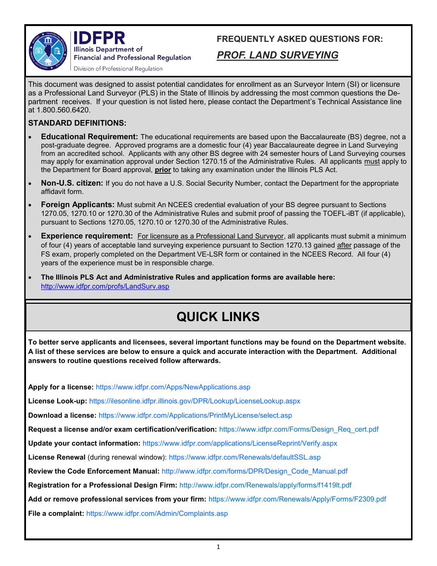

IDEPR **Illinois Department of Financial and Professional Regulation** Division of Professional Regulation

**FREQUENTLY ASKED QUESTIONS FOR:** 

## *PROF. LAND SURVEYING*

This document was designed to assist potential candidates for enrollment as an Surveyor Intern (SI) or licensure as a Professional Land Surveyor (PLS) in the State of Illinois by addressing the most common questions the Department receives. If your question is not listed here, please contact the Department's Technical Assistance line at 1.800.560.6420.

## **STANDARD DEFINITIONS:**

- **Educational Requirement:** The educational requirements are based upon the Baccalaureate (BS) degree, not a post-graduate degree. Approved programs are a domestic four (4) year Baccalaureate degree in Land Surveying from an accredited school. Applicants with any other BS degree with 24 semester hours of Land Surveying courses may apply for examination approval under Section 1270.15 of the Administrative Rules. All applicants must apply to the Department for Board approval, **prior** to taking any examination under the Illinois PLS Act.
- **Non-U.S. citizen:** If you do not have a U.S. Social Security Number, contact the Department for the appropriate affidavit form.
- **Foreign Applicants:** Must submit An NCEES credential evaluation of your BS degree pursuant to Sections 1270.05, 1270.10 or 1270.30 of the Administrative Rules and submit proof of passing the TOEFL-iBT (if applicable), pursuant to Sections 1270.05, 1270.10 or 1270.30 of the Administrative Rules.
- **Experience requirement:** For licensure as a Professional Land Surveyor, all applicants must submit a minimum of four (4) years of acceptable land surveying experience pursuant to Section 1270.13 gained after passage of the FS exam, properly completed on the Department VE-LSR form or contained in the NCEES Record. All four (4) years of the experience must be in responsible charge.
- **The Illinois PLS Act and Administrative Rules and application forms are available here:**  http://www.idfpr.com/profs/LandSurv.asp

## **QUICK LINKS**

**To better serve applicants and licensees, several important functions may be found on the Department website. A list of these services are below to ensure a quick and accurate interaction with the Department. Additional answers to routine questions received follow afterwards.**

**Apply for a license:** https://www.idfpr.com/Apps/NewApplications.asp

**License Look-up:** https://ilesonline.idfpr.illinois.gov/DPR/Lookup/LicenseLookup.aspx

**Download a license:** https://www.idfpr.com/Applications/PrintMyLicense/select.asp

**Request a license and/or exam certification/verification:** https://www.idfpr.com/Forms/Design\_Req\_cert.pdf

**Update your contact information:** https://www.idfpr.com/applications/LicenseReprint/Verify.aspx

**License Renewal** (during renewal window): https://www.idfpr.com/Renewals/defaultSSL.asp

**Review the Code Enforcement Manual:** http://www.idfpr.com/forms/DPR/Design\_Code\_Manual.pdf

**Registration for a Professional Design Firm:** <http://www.idfpr.com/Renewals/apply/forms/f1419lt.pdf>

**Add or remove professional services from your firm:** https://www.idfpr.com/Renewals/Apply/Forms/F2309.pdf

**File a complaint:** https://www.idfpr.com/Admin/Complaints.asp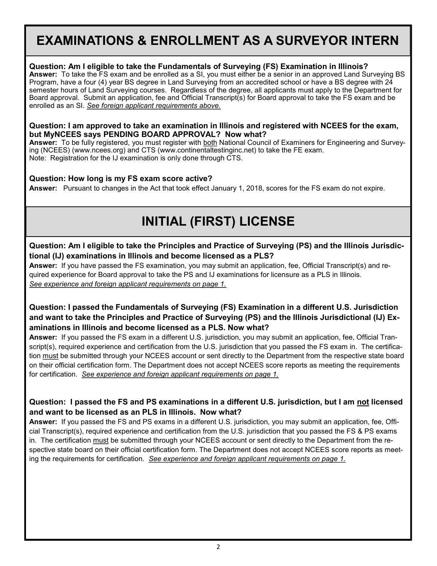## **EXAMINATIONS & ENROLLMENT AS A SURVEYOR INTERN**

### **Question: Am I eligible to take the Fundamentals of Surveying (FS) Examination in Illinois?**

**Answer:** To take the FS exam and be enrolled as a SI, you must either be a senior in an approved Land Surveying BS Program, have a four (4) year BS degree in Land Surveying from an accredited school or have a BS degree with 24 semester hours of Land Surveying courses. Regardless of the degree, all applicants must apply to the Department for Board approval. Submit an application, fee and Official Transcript(s) for Board approval to take the FS exam and be enrolled as an SI. *See foreign applicant requirements above.*

#### **Question: I am approved to take an examination in Illinois and registered with NCEES for the exam, but MyNCEES says PENDING BOARD APPROVAL? Now what?**

**Answer:** To be fully registered, you must register with both National Council of Examiners for Engineering and Surveying (NCEES) (www.ncees.org) and CTS (www.continentaltestinginc.net) to take the FE exam. Note: Registration for the IJ examination is only done through CTS.

### **Question: How long is my FS exam score active?**

**Answer:** Pursuant to changes in the Act that took effect January 1, 2018, scores for the FS exam do not expire.

# **INITIAL (FIRST) LICENSE**

### **Question: Am I eligible to take the Principles and Practice of Surveying (PS) and the Illinois Jurisdictional (IJ) examinations in Illinois and become licensed as a PLS?**

**Answer:** If you have passed the FS examination, you may submit an application, fee, Official Transcript(s) and required experience for Board approval to take the PS and IJ examinations for licensure as a PLS in Illinois. *See experience and foreign applicant requirements on page 1.*

## **Question: I passed the Fundamentals of Surveying (FS) Examination in a different U.S. Jurisdiction and want to take the Principles and Practice of Surveying (PS) and the Illinois Jurisdictional (IJ) Examinations in Illinois and become licensed as a PLS. Now what?**

**Answer:** If you passed the FS exam in a different U.S. jurisdiction, you may submit an application, fee, Official Transcript(s), required experience and certification from the U.S. jurisdiction that you passed the FS exam in. The certification must be submitted through your NCEES account or sent directly to the Department from the respective state board on their official certification form. The Department does not accept NCEES score reports as meeting the requirements for certification. *See experience and foreign applicant requirements on page 1.*

## **Question: I passed the FS and PS examinations in a different U.S. jurisdiction, but I am not licensed and want to be licensed as an PLS in Illinois. Now what?**

**Answer:** If you passed the FS and PS exams in a different U.S. jurisdiction, you may submit an application, fee, Official Transcript(s), required experience and certification from the U.S. jurisdiction that you passed the FS & PS exams in. The certification must be submitted through your NCEES account or sent directly to the Department from the respective state board on their official certification form. The Department does not accept NCEES score reports as meeting the requirements for certification. *See experience and foreign applicant requirements on page 1.*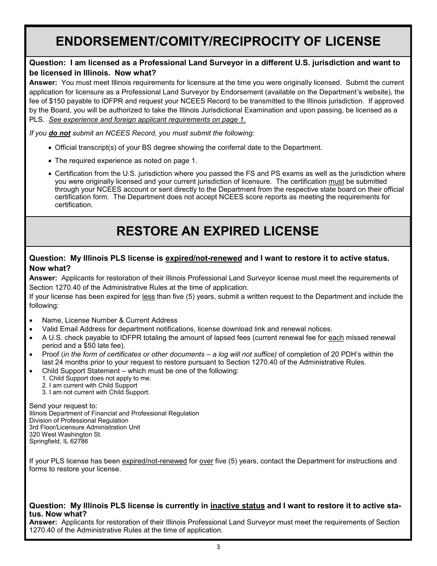## **ENDORSEMENT/COMITY/RECIPROCITY OF LICENSE**

## **Question: I am licensed as a Professional Land Surveyor in a different U.S. jurisdiction and want to be licensed in Illinois. Now what?**

**Answer:** You must meet Illinois requirements for licensure at the time you were originally licensed. Submit the current application for licensure as a Professional Land Surveyor by Endorsement (available on the Department's website), the fee of \$150 payable to IDFPR and request your NCEES Record to be transmitted to the Illinois jurisdiction. If approved by the Board, you will be authorized to take the Illinois Jurisdictional Examination and upon passing, be licensed as a PLS. *See experience and foreign applicant requirements on page 1.*

*If you do not submit an NCEES Record, you must submit the following:*

- Official transcript(s) of your BS degree showing the conferral date to the Department.
- The required experience as noted on page 1.
- Certification from the U.S. jurisdiction where you passed the FS and PS exams as well as the jurisdiction where you were originally licensed and your current jurisdiction of licensure. The certification must be submitted through your NCEES account or sent directly to the Department from the respective state board on their official certification form. The Department does not accept NCEES score reports as meeting the requirements for certification.

# **RESTORE AN EXPIRED LICENSE**

### **Question: My Illinois PLS license is expired/not-renewed and I want to restore it to active status. Now what?**

**Answer:** Applicants for restoration of their Illinois Professional Land Surveyor license must meet the requirements of Section 1270.40 of the Administrative Rules at the time of application.

If your license has been expired for less than five (5) years, submit a written request to the Department and include the following:

- Name, License Number & Current Address
- Valid Email Address for department notifications, license download link and renewal notices.
- A U.S. check payable to IDFPR totaling the amount of lapsed fees (current renewal fee for each missed renewal period and a \$50 late fee).
- Proof (*in the form of certificates or other documents – a log will not suffice)* of completion of 20 PDH's within the last 24 months prior to your request to restore pursuant to Section 1270.40 of the Administrative Rules.
- Child Support Statement which must be one of the following:
	- 1. Child Support does not apply to me.
	- 2. I am current with Child Support
	- 3. I am not current with Child Support.

Send your request to: Illinois Department of Financial and Professional Regulation Division of Professional Regulation 3rd Floor/Licensure Administration Unit 320 West Washington St. Springfield, IL 62786

If your PLS license has been expired/not-renewed for over five (5) years, contact the Department for instructions and forms to restore your license.

#### **Question: My Illinois PLS license is currently in inactive status and I want to restore it to active status. Now what?**

**Answer:** Applicants for restoration of their Illinois Professional Land Surveyor must meet the requirements of Section 1270.40 of the Administrative Rules at the time of application.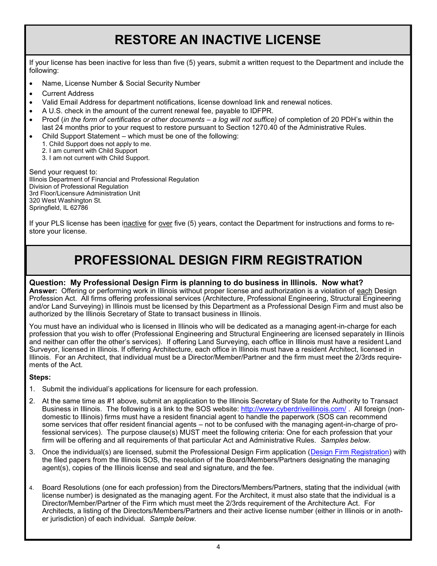## **RESTORE AN INACTIVE LICENSE**

If your license has been inactive for less than five (5) years, submit a written request to the Department and include the following:

- Name, License Number & Social Security Number
- Current Address
- Valid Email Address for department notifications, license download link and renewal notices.
- A U.S. check in the amount of the current renewal fee, payable to IDFPR.
- Proof (*in the form of certificates or other documents – a log will not suffice)* of completion of 20 PDH's within the last 24 months prior to your request to restore pursuant to Section 1270.40 of the Administrative Rules.
- Child Support Statement which must be one of the following:
	- 1. Child Support does not apply to me.
	- 2. I am current with Child Support
	- 3. I am not current with Child Support.

Send your request to: Illinois Department of Financial and Professional Regulation Division of Professional Regulation 3rd Floor/Licensure Administration Unit 320 West Washington St. Springfield, IL 62786

If your PLS license has been inactive for over five (5) years, contact the Department for instructions and forms to restore your license.

## **PROFESSIONAL DESIGN FIRM REGISTRATION**

### **Question: My Professional Design Firm is planning to do business in Illinois. Now what?**

**Answer:** Offering or performing work in Illinois without proper license and authorization is a violation of each Design Profession Act. All firms offering professional services (Architecture, Professional Engineering, Structural Engineering and/or Land Surveying) in Illinois must be licensed by this Department as a Professional Design Firm and must also be authorized by the Illinois Secretary of State to transact business in Illinois.

You must have an individual who is licensed in Illinois who will be dedicated as a managing agent-in-charge for each profession that you wish to offer (Professional Engineering and Structural Engineering are licensed separately in Illinois and neither can offer the other's services). If offering Land Surveying, each office in Illinois must have a resident Land Surveyor, licensed in Illinois. If offering Architecture, each office in Illinois must have a resident Architect, licensed in Illinois. For an Architect, that individual must be a Director/Member/Partner and the firm must meet the 2/3rds requirements of the Act.

#### **Steps:**

- 1. Submit the individual's applications for licensure for each profession.
- 2. At the same time as #1 above, submit an application to the Illinois Secretary of State for the Authority to Transact Business in Illinois. The following is a link to the SOS website: <http://www.cyberdriveillinois.com/> . All foreign (nondomestic to Illinois) firms must have a resident financial agent to handle the paperwork (SOS can recommend some services that offer resident financial agents – not to be confused with the managing agent-in-charge of professional services). The purpose clause(s) MUST meet the following criteria: One for each profession that your firm will be offering and all requirements of that particular Act and Administrative Rules. *Samples below.*
- 3. Once the individual(s) are licensed, submit the Professional Design Firm application ([Design Firm Registration\)](http://www.idfpr.com/Renewals/apply/forms/f1419lt.pdf) with the filed papers from the Illinois SOS, the resolution of the Board/Members/Partners designating the managing agent(s), copies of the Illinois license and seal and signature, and the fee.
- 4. Board Resolutions (one for each profession) from the Directors/Members/Partners, stating that the individual (with license number) is designated as the managing agent. For the Architect, it must also state that the individual is a Director/Member/Partner of the Firm which must meet the 2/3rds requirement of the Architecture Act. For Architects, a listing of the Directors/Members/Partners and their active license number (either in Illinois or in another jurisdiction) of each individual. *Sample below.*